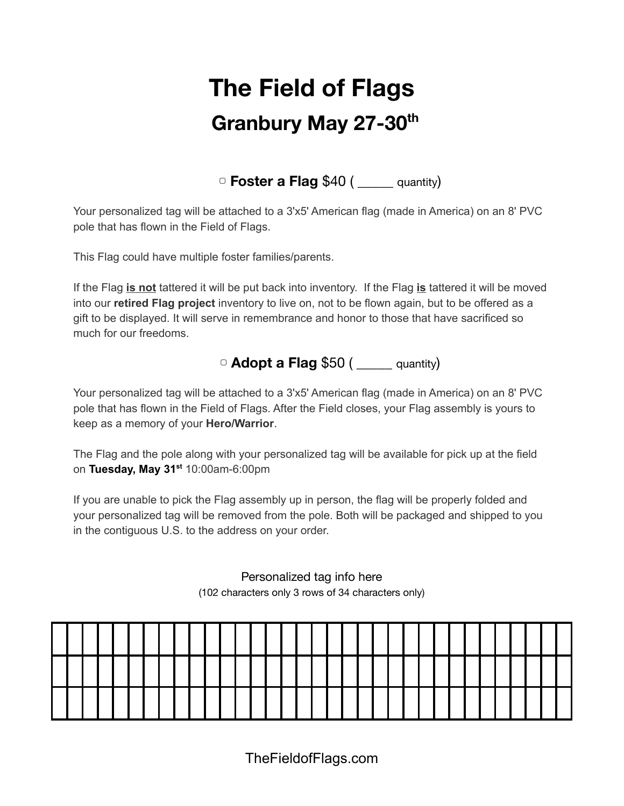## **The Field of Flags Granbury May 27-30 th**

▢ **Foster a Flag** \$40 ( \_\_\_\_\_ quantity)

Your personalized tag will be attached to a 3'x5' American flag (made in America) on an 8' PVC pole that has flown in the Field of Flags.

This Flag could have multiple foster families/parents.

If the Flag **is not** tattered it will be put back into inventory. If the Flag **is** tattered it will be moved into our **retired Flag project** inventory to live on, not to be flown again, but to be offered as a gift to be displayed. It will serve in remembrance and honor to those that have sacrificed so much for our freedoms.

## ▢ **Adopt a Flag** \$50 ( \_\_\_\_\_ quantity)

Your personalized tag will be attached to a 3'x5' American flag (made in America) on an 8' PVC pole that has flown in the Field of Flags. After the Field closes, your Flag assembly is yours to keep as a memory of your **Hero/Warrior**.

The Flag and the pole along with your personalized tag will be available for pick up at the field on **Tuesday, May 31 st** 10:00am-6:00pm

If you are unable to pick the Flag assembly up in person, the flag will be properly folded and your personalized tag will be removed from the pole. Both will be packaged and shipped to you in the contiguous U.S. to the address on your order.

> Personalized tag info here (102 characters only 3 rows of 34 characters only)

TheFieldofFlags.com